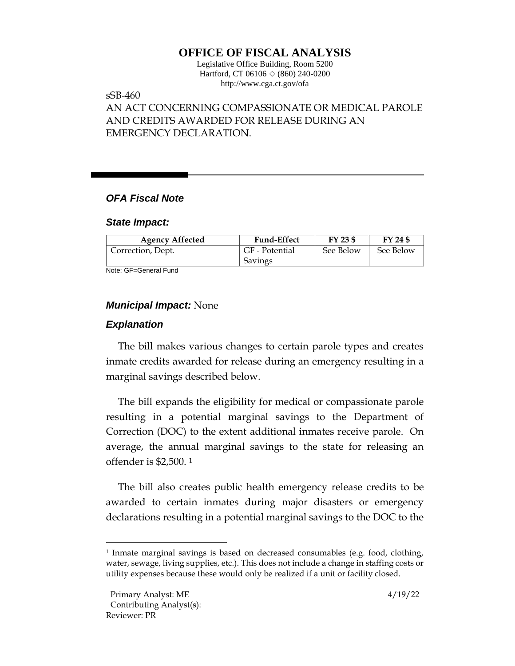# **OFFICE OF FISCAL ANALYSIS**

Legislative Office Building, Room 5200 Hartford, CT 06106  $\Diamond$  (860) 240-0200 http://www.cga.ct.gov/ofa

## sSB-460

# AN ACT CONCERNING COMPASSIONATE OR MEDICAL PAROLE AND CREDITS AWARDED FOR RELEASE DURING AN EMERGENCY DECLARATION.

## *OFA Fiscal Note*

#### *State Impact:*

| <b>Agency Affected</b> | <b>Fund-Effect</b> | FY 23 \$  | FY 24 \$  |
|------------------------|--------------------|-----------|-----------|
| Correction, Dept.      | GF - Potential     | See Below | See Below |
|                        | Savings            |           |           |

Note: GF=General Fund

### *Municipal Impact:* None

### *Explanation*

The bill makes various changes to certain parole types and creates inmate credits awarded for release during an emergency resulting in a marginal savings described below.

The bill expands the eligibility for medical or compassionate parole resulting in a potential marginal savings to the Department of Correction (DOC) to the extent additional inmates receive parole. On average, the annual marginal savings to the state for releasing an offender is \$2,500. <sup>1</sup>

The bill also creates public health emergency release credits to be awarded to certain inmates during major disasters or emergency declarations resulting in a potential marginal savings to the DOC to the

<sup>1</sup> Inmate marginal savings is based on decreased consumables (e.g. food, clothing, water, sewage, living supplies, etc.). This does not include a change in staffing costs or utility expenses because these would only be realized if a unit or facility closed.